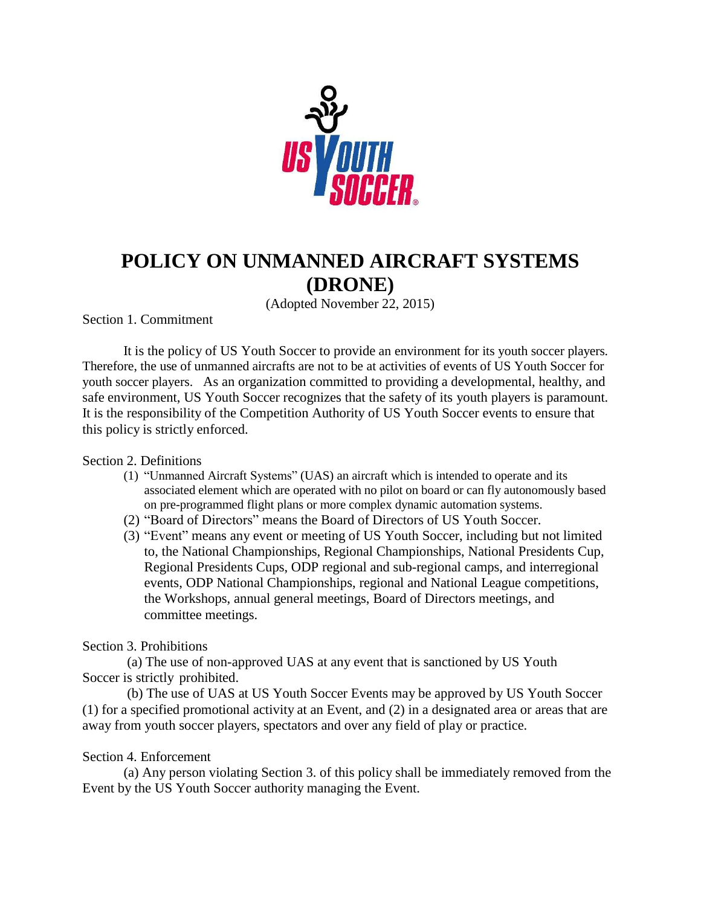

# **POLICY ON UNMANNED AIRCRAFT SYSTEMS (DRONE)**

(Adopted November 22, 2015)

Section 1. Commitment

It is the policy of US Youth Soccer to provide an environment for its youth soccer players. Therefore, the use of unmanned aircrafts are not to be at activities of events of US Youth Soccer for youth soccer players. As an organization committed to providing a developmental, healthy, and safe environment, US Youth Soccer recognizes that the safety of its youth players is paramount. It is the responsibility of the Competition Authority of US Youth Soccer events to ensure that this policy is strictly enforced.

### Section 2. Definitions

- (1) "Unmanned Aircraft Systems" (UAS) an aircraft which is intended to operate and its associated element which are operated with no pilot on board or can fly autonomously based on pre-programmed flight plans or more complex dynamic automation systems.
- (2) "Board of Directors" means the Board of Directors of US Youth Soccer.
- (3) "Event" means any event or meeting of US Youth Soccer, including but not limited to, the National Championships, Regional Championships, National Presidents Cup, Regional Presidents Cups, ODP regional and sub-regional camps, and interregional events, ODP National Championships, regional and National League competitions, the Workshops, annual general meetings, Board of Directors meetings, and committee meetings.

### Section 3. Prohibitions

(a) The use of non-approved UAS at any event that is sanctioned by US Youth Soccer is strictly prohibited.

(b) The use of UAS at US Youth Soccer Events may be approved by US Youth Soccer (1) for a specified promotional activity at an Event, and (2) in a designated area or areas that are away from youth soccer players, spectators and over any field of play or practice.

### Section 4. Enforcement

(a) Any person violating Section 3. of this policy shall be immediately removed from the Event by the US Youth Soccer authority managing the Event.